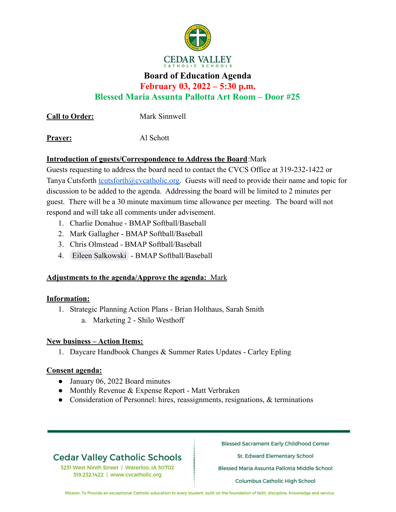

## **Board of Education Agenda February 03, 2022 – 5:30 p.m.**

**Blessed Maria Assunta Pallotta Art Room – Door #25**

**Call to Order:** Mark Sinnwell

Prayer: Al Schott

### **Introduction of guests/Correspondence to Address the Board**:Mark

Guests requesting to address the board need to contact the CVCS Office at 319-232-1422 or Tanya Cutsforth [tcutsforth@cvcatholic.org.](mailto:tcutsforth@cvcatholic.org) Guests will need to provide their name and topic for discussion to be added to the agenda. Addressing the board will be limited to 2 minutes per guest. There will be a 30 minute maximum time allowance per meeting. The board will not respond and will take all comments under advisement.

- 1. Charlie Donahue BMAP Softball/Baseball
- 2. Mark Gallagher BMAP Softball/Baseball
- 3. Chris Olmstead BMAP Softball/Baseball
- 4. [Eileen Salkowski](mailto:eileen.hoffmann@gmail.com) BMAP Softball/Baseball

### **Adjustments to the agenda/Approve the agenda:** Mark

### **Information:**

- 1. Strategic Planning Action Plans Brian Holthaus, Sarah Smith
	- a. Marketing 2 Shilo Westhoff

### **New business – Action Items:**

1. Daycare Handbook Changes & Summer Rates Updates - Carley Epling

### **Consent agenda:**

- January 06, 2022 Board minutes
- Monthly Revenue & Expense Report Matt Verbraken
- Consideration of Personnel: hires, reassignments, resignations, & terminations

# **Cedar Valley Catholic Schools**

3231 West Ninth Street | Waterloo, IA 50702 319.232.1422 | www.cvcatholic.org

**Blessed Sacrament Early Childhood Center** 

St. Edward Elementary School

Blessed Maria Assunta Pallotta Middle School

**Columbus Catholic High School** 

Mission: To Provide an exceptional Catholic education to every student, built on the foundation of faith, discipline, knowledge and service.